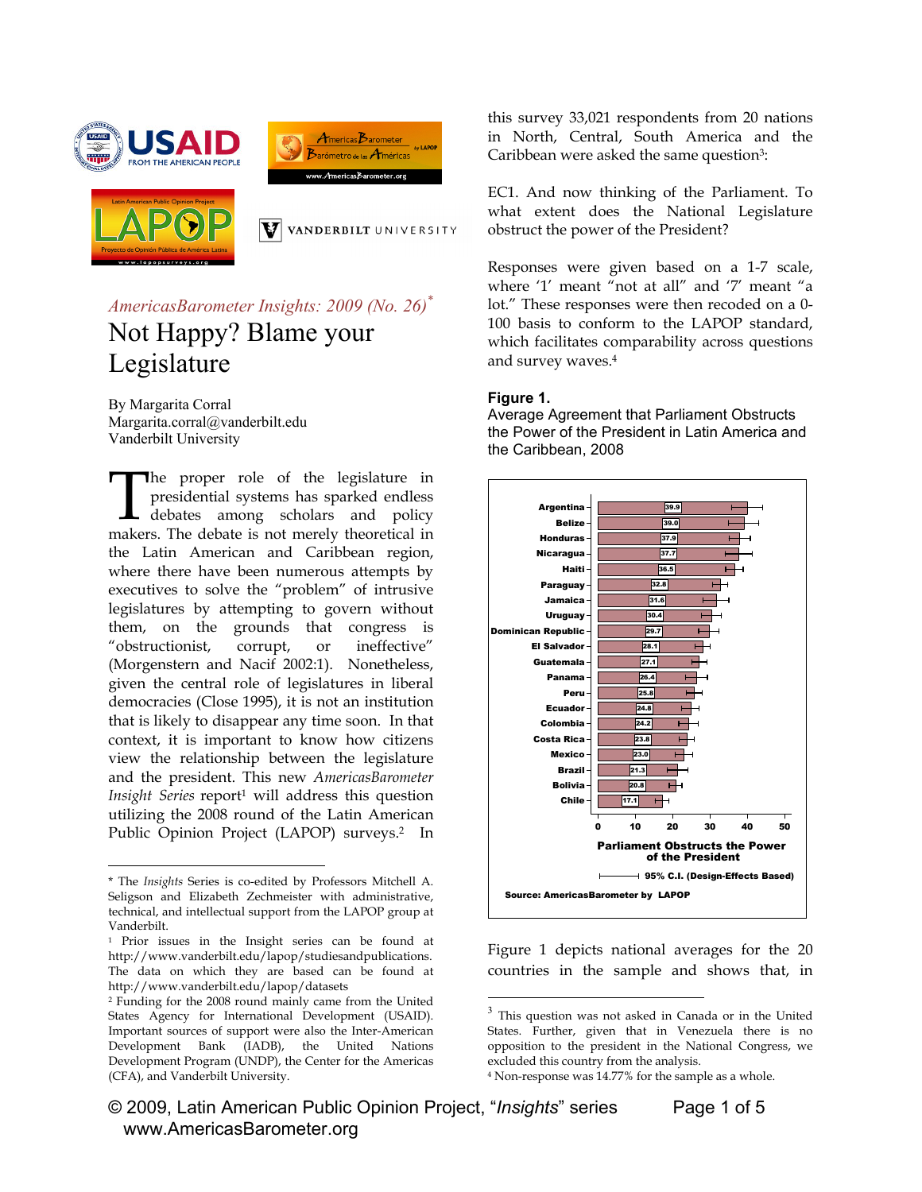





 $\mathbf{V}$  vanderbilt university

*AmericasBarometer Insights: 2009 (No. 26)\** Not Happy? Blame your Legislature

By Margarita Corral Margarita.corral@vanderbilt.edu Vanderbilt University

**The proper role of the legislature in** presidential systems has sparked endless debates among scholars and policy The proper role of the legislature in presidential systems has sparked endless debates among scholars and policy makers. The debate is not merely theoretical in the Latin American and Caribbean region, where there have been numerous attempts by executives to solve the "problem" of intrusive legislatures by attempting to govern without them, on the grounds that congress is "obstructionist, corrupt, or ineffective" (Morgenstern and Nacif 2002:1). Nonetheless, given the central role of legislatures in liberal democracies (Close 1995), it is not an institution that is likely to disappear any time soon. In that context, it is important to know how citizens view the relationship between the legislature and the president. This new *AmericasBarometer Insight Series* report<sup>1</sup> will address this question utilizing the 2008 round of the Latin American Public Opinion Project (LAPOP) surveys.<sup>2</sup> In

 $\overline{a}$ 

this survey 33,021 respondents from 20 nations in North, Central, South America and the Caribbean were asked the same question<sup>3</sup>:

EC1. And now thinking of the Parliament. To what extent does the National Legislature obstruct the power of the President?

Responses were given based on a 1-7 scale, where '1' meant "not at all" and '7' meant "a lot." These responses were then recoded on a 0- 100 basis to conform to the LAPOP standard, which facilitates comparability across questions and survey waves.4

#### **Figure 1.**

Average Agreement that Parliament Obstructs the Power of the President in Latin America and the Caribbean, 2008



Figure 1 depicts national averages for the 20 countries in the sample and shows that, in

 $\overline{a}$ 

<sup>\*</sup> The *Insights* Series is co-edited by Professors Mitchell A. Seligson and Elizabeth Zechmeister with administrative, technical, and intellectual support from the LAPOP group at Vanderbilt.

<sup>1</sup> Prior issues in the Insight series can be found at http://www.vanderbilt.edu/lapop/studiesandpublications. The data on which they are based can be found at http://www.vanderbilt.edu/lapop/datasets

<sup>2</sup> Funding for the 2008 round mainly came from the United States Agency for International Development (USAID). Important sources of support were also the Inter-American Development Bank (IADB), the United Nations Development Program (UNDP), the Center for the Americas (CFA), and Vanderbilt University.

 $3$  This question was not asked in Canada or in the United States. Further, given that in Venezuela there is no opposition to the president in the National Congress, we excluded this country from the analysis.<br><sup>4</sup> Non-response was 14.77% for the sample as a whole.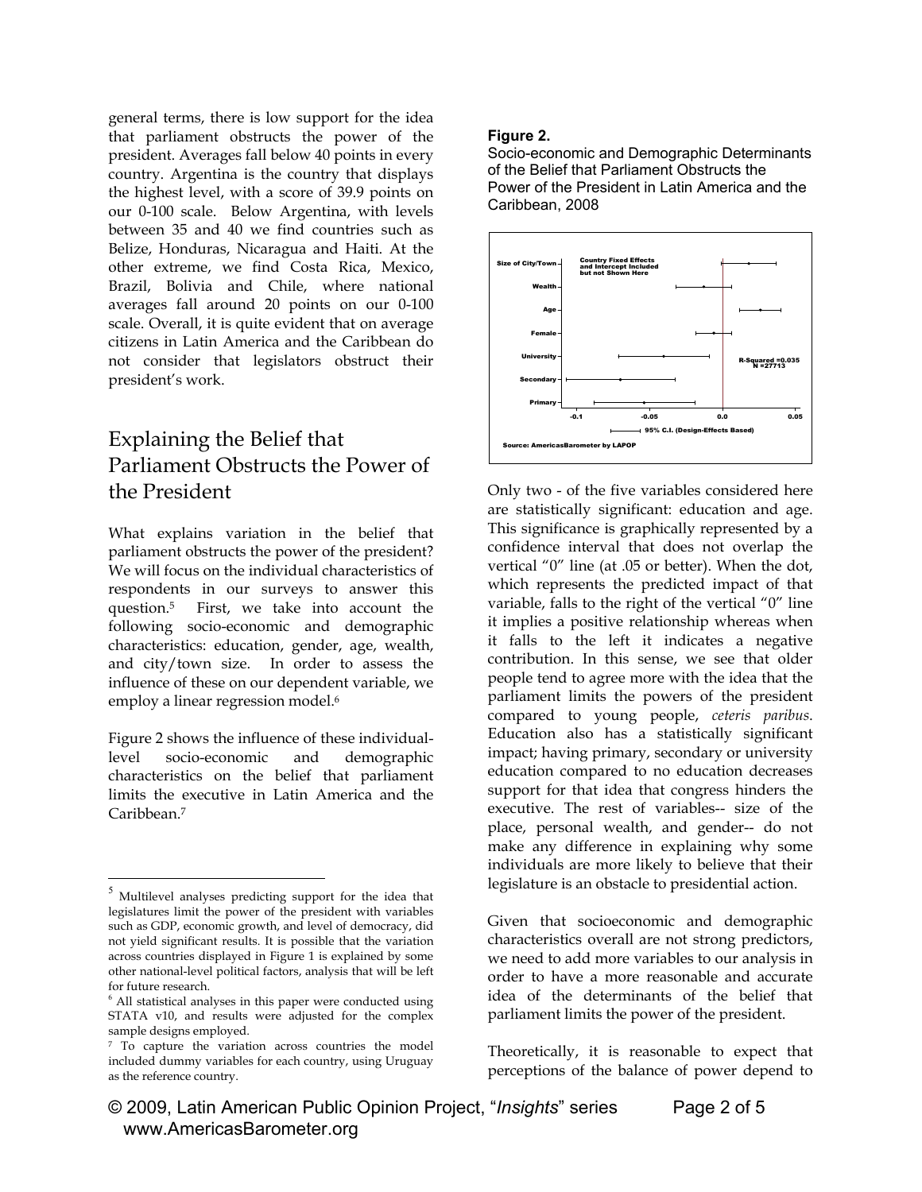general terms, there is low support for the idea that parliament obstructs the power of the president. Averages fall below 40 points in every country. Argentina is the country that displays the highest level, with a score of 39.9 points on our 0-100 scale. Below Argentina, with levels between 35 and 40 we find countries such as Belize, Honduras, Nicaragua and Haiti. At the other extreme, we find Costa Rica, Mexico, Brazil, Bolivia and Chile, where national averages fall around 20 points on our 0-100 scale. Overall, it is quite evident that on average citizens in Latin America and the Caribbean do not consider that legislators obstruct their president's work.

## Explaining the Belief that Parliament Obstructs the Power of the President

What explains variation in the belief that parliament obstructs the power of the president? We will focus on the individual characteristics of respondents in our surveys to answer this question.5 First, we take into account the following socio-economic and demographic characteristics: education, gender, age, wealth, and city/town size. In order to assess the influence of these on our dependent variable, we employ a linear regression model.<sup>6</sup>

Figure 2 shows the influence of these individuallevel socio-economic and demographic characteristics on the belief that parliament limits the executive in Latin America and the Caribbean.7

 $\overline{a}$ 

### **Figure 2.**

Socio-economic and Demographic Determinants of the Belief that Parliament Obstructs the Power of the President in Latin America and the Caribbean, 2008



Only two - of the five variables considered here are statistically significant: education and age. This significance is graphically represented by a confidence interval that does not overlap the vertical "0" line (at .05 or better). When the dot, which represents the predicted impact of that variable, falls to the right of the vertical "0" line it implies a positive relationship whereas when it falls to the left it indicates a negative contribution. In this sense, we see that older people tend to agree more with the idea that the parliament limits the powers of the president compared to young people, *ceteris paribus*. Education also has a statistically significant impact; having primary, secondary or university education compared to no education decreases support for that idea that congress hinders the executive. The rest of variables-- size of the place, personal wealth, and gender-- do not make any difference in explaining why some individuals are more likely to believe that their legislature is an obstacle to presidential action.

Given that socioeconomic and demographic characteristics overall are not strong predictors, we need to add more variables to our analysis in order to have a more reasonable and accurate idea of the determinants of the belief that parliament limits the power of the president.

Theoretically, it is reasonable to expect that perceptions of the balance of power depend to

<sup>&</sup>lt;sup>5</sup> Multilevel analyses predicting support for the idea that legislatures limit the power of the president with variables such as GDP, economic growth, and level of democracy, did not yield significant results. It is possible that the variation across countries displayed in Figure 1 is explained by some other national-level political factors, analysis that will be left for future research.

 $6$  All statistical analyses in this paper were conducted using STATA v10, and results were adjusted for the complex sample designs employed.

<sup>7</sup> To capture the variation across countries the model included dummy variables for each country, using Uruguay as the reference country.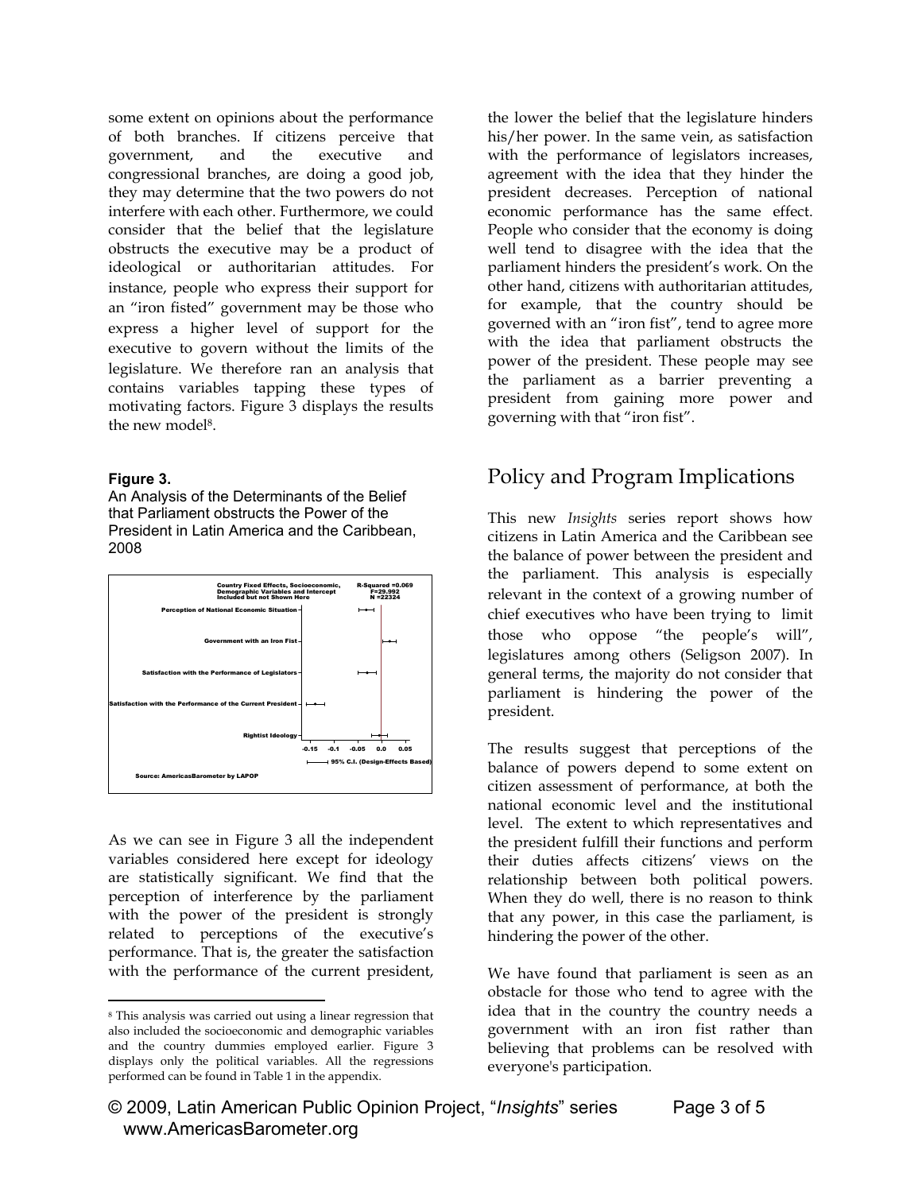some extent on opinions about the performance of both branches. If citizens perceive that government, and the executive and congressional branches, are doing a good job, they may determine that the two powers do not interfere with each other. Furthermore, we could consider that the belief that the legislature obstructs the executive may be a product of ideological or authoritarian attitudes. For instance, people who express their support for an "iron fisted" government may be those who express a higher level of support for the executive to govern without the limits of the legislature. We therefore ran an analysis that contains variables tapping these types of motivating factors. Figure 3 displays the results the new model<sup>8</sup>.

### **Figure 3.**

 $\overline{a}$ 

An Analysis of the Determinants of the Belief that Parliament obstructs the Power of the President in Latin America and the Caribbean, 2008



As we can see in Figure 3 all the independent variables considered here except for ideology are statistically significant. We find that the perception of interference by the parliament with the power of the president is strongly related to perceptions of the executive's performance. That is, the greater the satisfaction with the performance of the current president,

the lower the belief that the legislature hinders his/her power. In the same vein, as satisfaction with the performance of legislators increases, agreement with the idea that they hinder the president decreases. Perception of national economic performance has the same effect. People who consider that the economy is doing well tend to disagree with the idea that the parliament hinders the president's work. On the other hand, citizens with authoritarian attitudes, for example, that the country should be governed with an "iron fist", tend to agree more with the idea that parliament obstructs the power of the president. These people may see the parliament as a barrier preventing a president from gaining more power and governing with that "iron fist".

# Policy and Program Implications

This new *Insights* series report shows how citizens in Latin America and the Caribbean see the balance of power between the president and the parliament. This analysis is especially relevant in the context of a growing number of chief executives who have been trying to limit those who oppose "the people's will", legislatures among others (Seligson 2007). In general terms, the majority do not consider that parliament is hindering the power of the president.

The results suggest that perceptions of the balance of powers depend to some extent on citizen assessment of performance, at both the national economic level and the institutional level. The extent to which representatives and the president fulfill their functions and perform their duties affects citizens' views on the relationship between both political powers. When they do well, there is no reason to think that any power, in this case the parliament, is hindering the power of the other.

We have found that parliament is seen as an obstacle for those who tend to agree with the idea that in the country the country needs a government with an iron fist rather than believing that problems can be resolved with everyone's participation.

<sup>8</sup> This analysis was carried out using a linear regression that also included the socioeconomic and demographic variables and the country dummies employed earlier. Figure 3 displays only the political variables. All the regressions performed can be found in Table 1 in the appendix.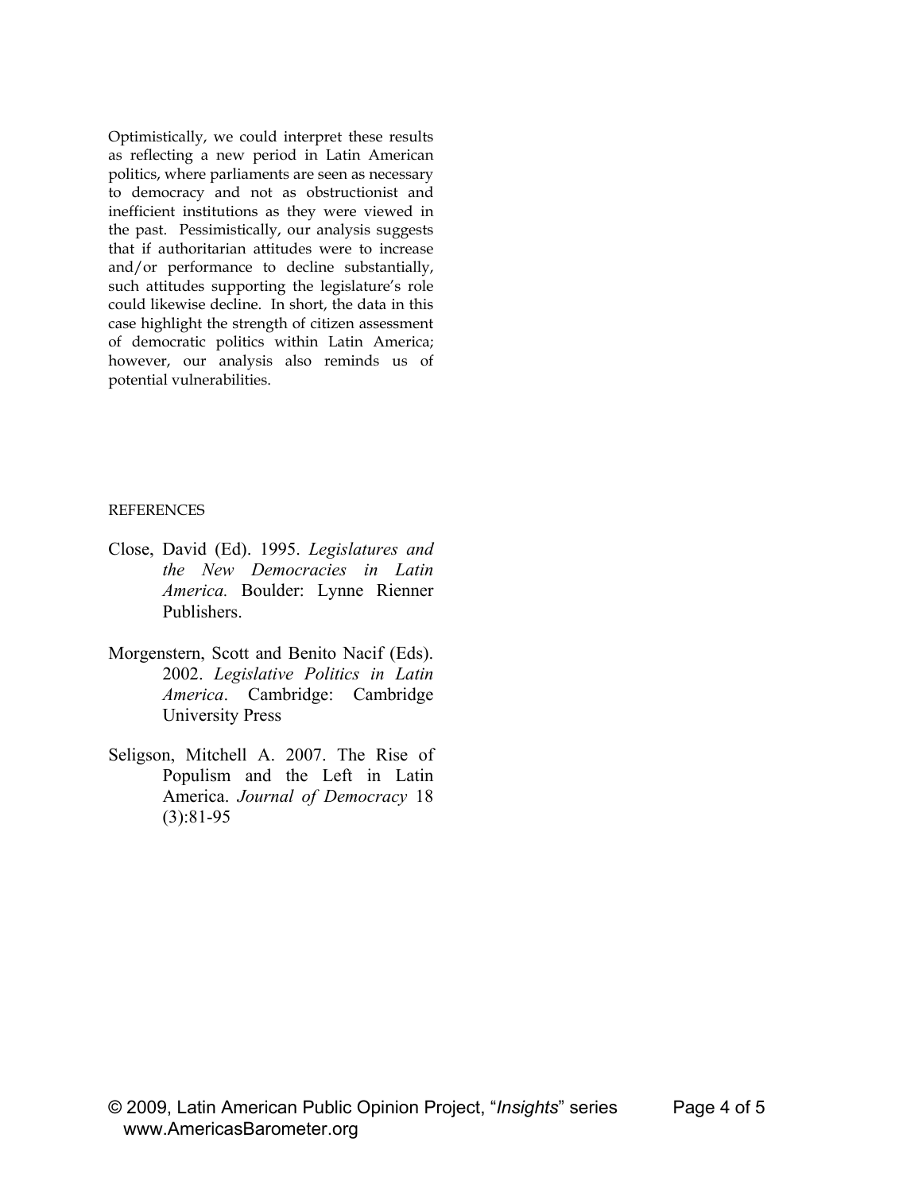Optimistically, we could interpret these results as reflecting a new period in Latin American politics, where parliaments are seen as necessary to democracy and not as obstructionist and inefficient institutions as they were viewed in the past. Pessimistically, our analysis suggests that if authoritarian attitudes were to increase and/or performance to decline substantially, such attitudes supporting the legislature's role could likewise decline. In short, the data in this case highlight the strength of citizen assessment of democratic politics within Latin America; however, our analysis also reminds us of potential vulnerabilities.

#### REFERENCES

- Close, David (Ed). 1995. *Legislatures and the New Democracies in Latin America.* Boulder: Lynne Rienner Publishers.
- Morgenstern, Scott and Benito Nacif (Eds). 2002. *Legislative Politics in Latin America*. Cambridge: Cambridge University Press
- Seligson, Mitchell A. 2007. The Rise of Populism and the Left in Latin America. *Journal of Democracy* 18 (3):81-95